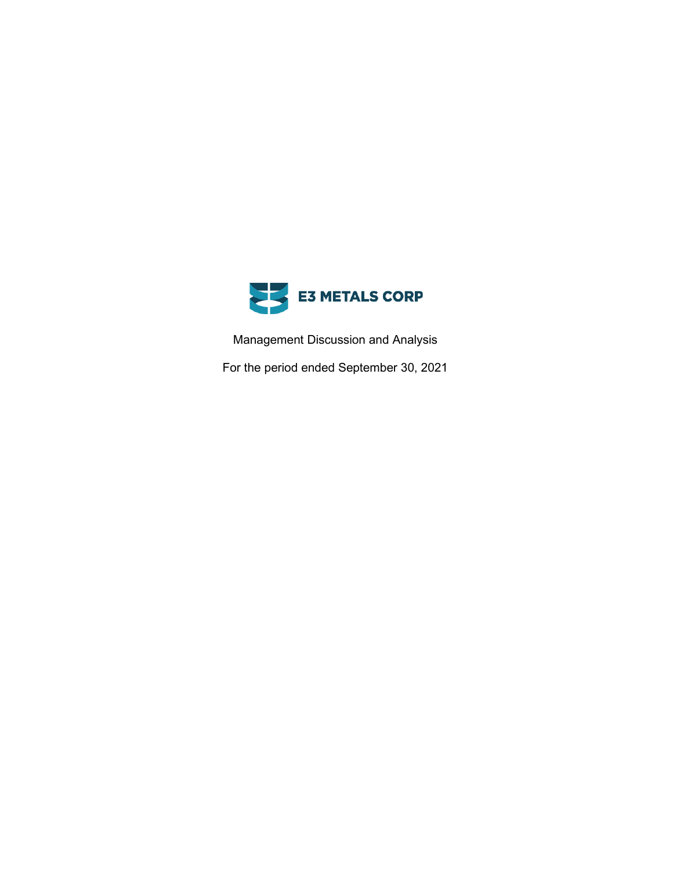

Management Discussion and Analysis

For the period ended September 30, 2021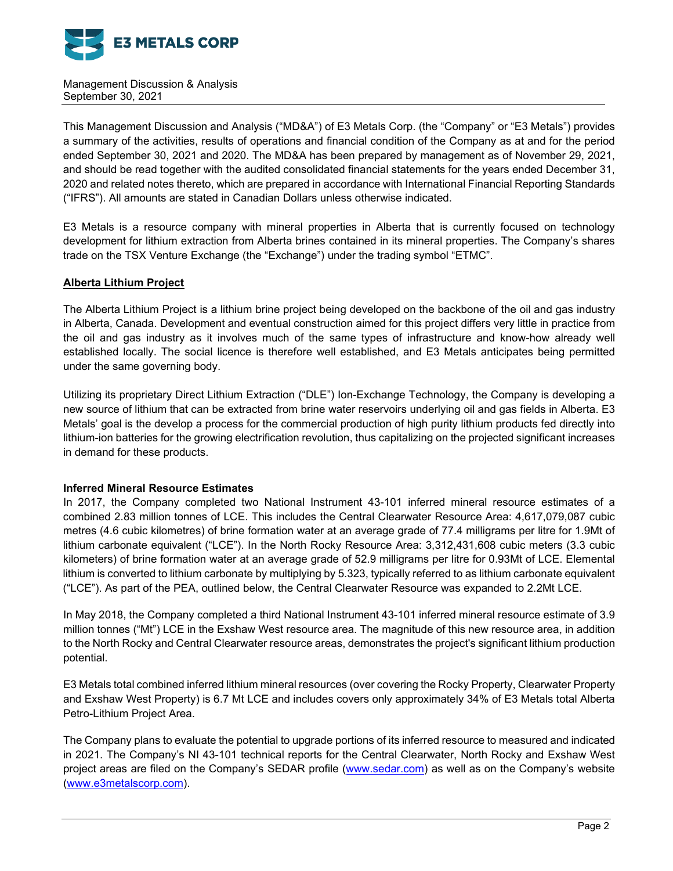

This Management Discussion and Analysis ("MD&A") of E3 Metals Corp. (the "Company" or "E3 Metals") provides a summary of the activities, results of operations and financial condition of the Company as at and for the period ended September 30, 2021 and 2020. The MD&A has been prepared by management as of November 29, 2021, and should be read together with the audited consolidated financial statements for the years ended December 31, 2020 and related notes thereto, which are prepared in accordance with International Financial Reporting Standards ("IFRS"). All amounts are stated in Canadian Dollars unless otherwise indicated.

E3 Metals is a resource company with mineral properties in Alberta that is currently focused on technology development for lithium extraction from Alberta brines contained in its mineral properties. The Company's shares trade on the TSX Venture Exchange (the "Exchange") under the trading symbol "ETMC".

### **Alberta Lithium Project**

The Alberta Lithium Project is a lithium brine project being developed on the backbone of the oil and gas industry in Alberta, Canada. Development and eventual construction aimed for this project differs very little in practice from the oil and gas industry as it involves much of the same types of infrastructure and know-how already well established locally. The social licence is therefore well established, and E3 Metals anticipates being permitted under the same governing body.

Utilizing its proprietary Direct Lithium Extraction ("DLE") Ion-Exchange Technology, the Company is developing a new source of lithium that can be extracted from brine water reservoirs underlying oil and gas fields in Alberta. E3 Metals' goal is the develop a process for the commercial production of high purity lithium products fed directly into lithium-ion batteries for the growing electrification revolution, thus capitalizing on the projected significant increases in demand for these products.

#### **Inferred Mineral Resource Estimates**

In 2017, the Company completed two National Instrument 43-101 inferred mineral resource estimates of a combined 2.83 million tonnes of LCE. This includes the Central Clearwater Resource Area: 4,617,079,087 cubic metres (4.6 cubic kilometres) of brine formation water at an average grade of 77.4 milligrams per litre for 1.9Mt of lithium carbonate equivalent ("LCE"). In the North Rocky Resource Area: 3,312,431,608 cubic meters (3.3 cubic kilometers) of brine formation water at an average grade of 52.9 milligrams per litre for 0.93Mt of LCE. Elemental lithium is converted to lithium carbonate by multiplying by 5.323, typically referred to as lithium carbonate equivalent ("LCE"). As part of the PEA, outlined below, the Central Clearwater Resource was expanded to 2.2Mt LCE.

In May 2018, the Company completed a third National Instrument 43-101 inferred mineral resource estimate of 3.9 million tonnes ("Mt") LCE in the Exshaw West resource area. The magnitude of this new resource area, in addition to the North Rocky and Central Clearwater resource areas, demonstrates the project's significant lithium production potential.

E3 Metals total combined inferred lithium mineral resources (over covering the Rocky Property, Clearwater Property and Exshaw West Property) is 6.7 Mt LCE and includes covers only approximately 34% of E3 Metals total Alberta Petro-Lithium Project Area.

The Company plans to evaluate the potential to upgrade portions of its inferred resource to measured and indicated in 2021. The Company's NI 43-101 technical reports for the Central Clearwater, North Rocky and Exshaw West project areas are filed on the Company's SEDAR profile [\(www.sedar.com\)](http://www.sedar.com/) as well as on the Company's website [\(www.e3metalscorp.com\)](http://www.e3metalscorp.com/).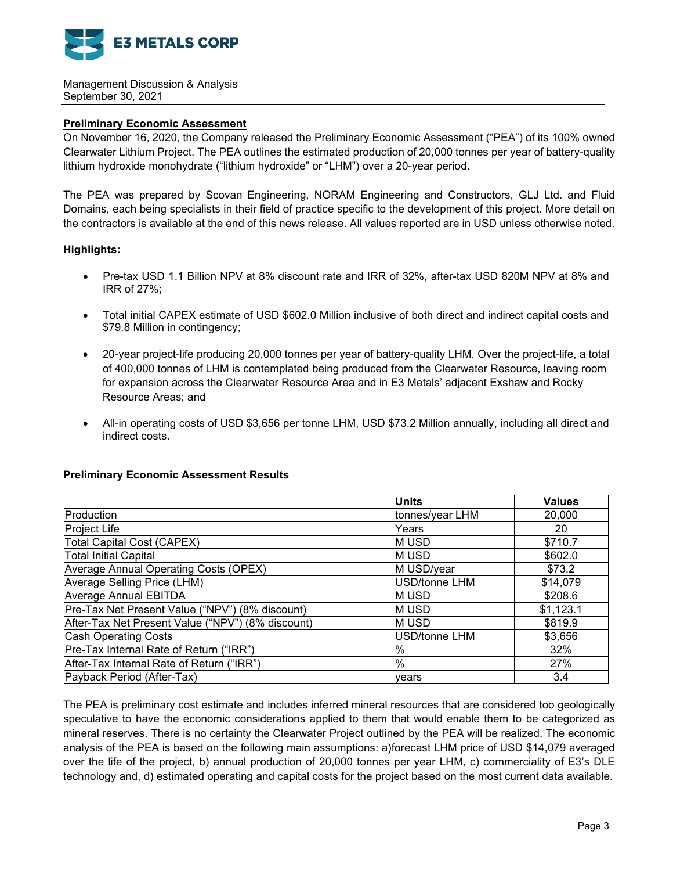

### **Preliminary Economic Assessment**

On November 16, 2020, the Company released the Preliminary Economic Assessment ("PEA") of its 100% owned Clearwater Lithium Project. The PEA outlines the estimated production of 20,000 tonnes per year of battery-quality lithium hydroxide monohydrate ("lithium hydroxide" or "LHM") over a 20-year period.

The PEA was prepared by Scovan Engineering, NORAM Engineering and Constructors, GLJ Ltd. and Fluid Domains, each being specialists in their field of practice specific to the development of this project. More detail on the contractors is available at the end of this news release. All values reported are in USD unless otherwise noted.

### **Highlights:**

- Pre-tax USD 1.1 Billion NPV at 8% discount rate and IRR of 32%, after-tax USD 820M NPV at 8% and IRR of 27%;
- Total initial CAPEX estimate of USD \$602.0 Million inclusive of both direct and indirect capital costs and \$79.8 Million in contingency;
- 20-year project-life producing 20,000 tonnes per year of battery-quality LHM. Over the project-life, a total of 400,000 tonnes of LHM is contemplated being produced from the Clearwater Resource, leaving room for expansion across the Clearwater Resource Area and in E3 Metals' adjacent Exshaw and Rocky Resource Areas; and
- All-in operating costs of USD \$3,656 per tonne LHM, USD \$73.2 Million annually, including all direct and indirect costs.

#### **Preliminary Economic Assessment Results**

|                                                   | <b>Units</b>    | <b>Values</b> |
|---------------------------------------------------|-----------------|---------------|
| Production                                        | tonnes/year LHM | 20,000        |
| Project Life                                      | Years           | 20            |
| Total Capital Cost (CAPEX)                        | M USD           | \$710.7       |
| <b>Total Initial Capital</b>                      | M USD           | \$602.0       |
| Average Annual Operating Costs (OPEX)             | M USD/year      | \$73.2        |
| Average Selling Price (LHM)                       | USD/tonne LHM   | \$14,079      |
| Average Annual EBITDA                             | <b>MUSD</b>     | \$208.6       |
| Pre-Tax Net Present Value ("NPV") (8% discount)   | M USD           | \$1,123.1     |
| After-Tax Net Present Value ("NPV") (8% discount) | M USD           | \$819.9       |
| <b>Cash Operating Costs</b>                       | USD/tonne LHM   | \$3,656       |
| Pre-Tax Internal Rate of Return ("IRR")           | %               | 32%           |
| After-Tax Internal Rate of Return ("IRR")         | $\%$            | 27%           |
| Payback Period (After-Tax)                        | <b>vears</b>    | 3.4           |

The PEA is preliminary cost estimate and includes inferred mineral resources that are considered too geologically speculative to have the economic considerations applied to them that would enable them to be categorized as mineral reserves. There is no certainty the Clearwater Project outlined by the PEA will be realized. The economic analysis of the PEA is based on the following main assumptions: a)forecast LHM price of USD \$14,079 averaged over the life of the project, b) annual production of 20,000 tonnes per year LHM, c) commerciality of E3's DLE technology and, d) estimated operating and capital costs for the project based on the most current data available.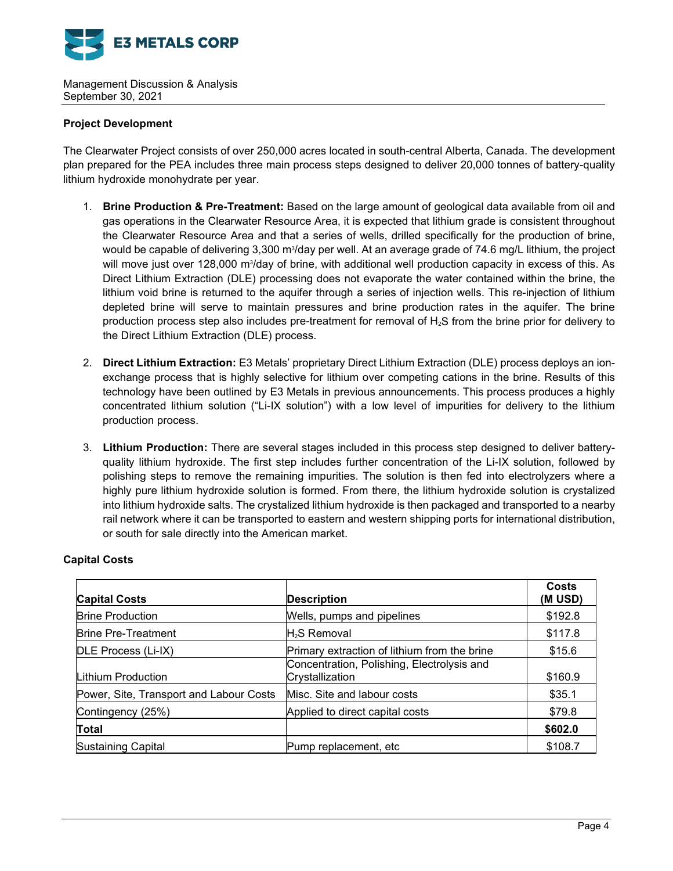

### **Project Development**

The Clearwater Project consists of over 250,000 acres located in south-central Alberta, Canada. The development plan prepared for the PEA includes three main process steps designed to deliver 20,000 tonnes of battery-quality lithium hydroxide monohydrate per year.

- 1. **Brine Production & Pre-Treatment:** Based on the large amount of geological data available from oil and gas operations in the Clearwater Resource Area, it is expected that lithium grade is consistent throughout the Clearwater Resource Area and that a series of wells, drilled specifically for the production of brine, would be capable of delivering 3,300 m¾/day per well. At an average grade of 74.6 mg/L lithium, the project will move just over 128,000 m¾day of brine, with additional well production capacity in excess of this. As Direct Lithium Extraction (DLE) processing does not evaporate the water contained within the brine, the lithium void brine is returned to the aquifer through a series of injection wells. This re-injection of lithium depleted brine will serve to maintain pressures and brine production rates in the aquifer. The brine production process step also includes pre-treatment for removal of  $H_2S$  from the brine prior for delivery to the Direct Lithium Extraction (DLE) process.
- 2. **Direct Lithium Extraction:** E3 Metals' proprietary Direct Lithium Extraction (DLE) process deploys an ionexchange process that is highly selective for lithium over competing cations in the brine. Results of this technology have been outlined by E3 Metals in previous announcements. This process produces a highly concentrated lithium solution ("Li-IX solution") with a low level of impurities for delivery to the lithium production process.
- 3. **Lithium Production:** There are several stages included in this process step designed to deliver batteryquality lithium hydroxide. The first step includes further concentration of the Li-IX solution, followed by polishing steps to remove the remaining impurities. The solution is then fed into electrolyzers where a highly pure lithium hydroxide solution is formed. From there, the lithium hydroxide solution is crystalized into lithium hydroxide salts. The crystalized lithium hydroxide is then packaged and transported to a nearby rail network where it can be transported to eastern and western shipping ports for international distribution, or south for sale directly into the American market.

| <b>Capital Costs</b>                    | <b>Description</b>                                            | <b>Costs</b><br>(M USD) |
|-----------------------------------------|---------------------------------------------------------------|-------------------------|
| <b>Brine Production</b>                 | Wells, pumps and pipelines                                    | \$192.8                 |
| <b>Brine Pre-Treatment</b>              | H <sub>2</sub> S Removal                                      | \$117.8                 |
| DLE Process (Li-IX)                     | Primary extraction of lithium from the brine                  | \$15.6                  |
| Lithium Production                      | Concentration, Polishing, Electrolysis and<br>Crystallization | \$160.9                 |
| Power, Site, Transport and Labour Costs | Misc. Site and labour costs                                   | \$35.1                  |
| Contingency (25%)                       | Applied to direct capital costs                               | \$79.8                  |
| Total                                   |                                                               | \$602.0                 |
| <b>Sustaining Capital</b>               | Pump replacement, etc                                         | \$108.7                 |

# **Capital Costs**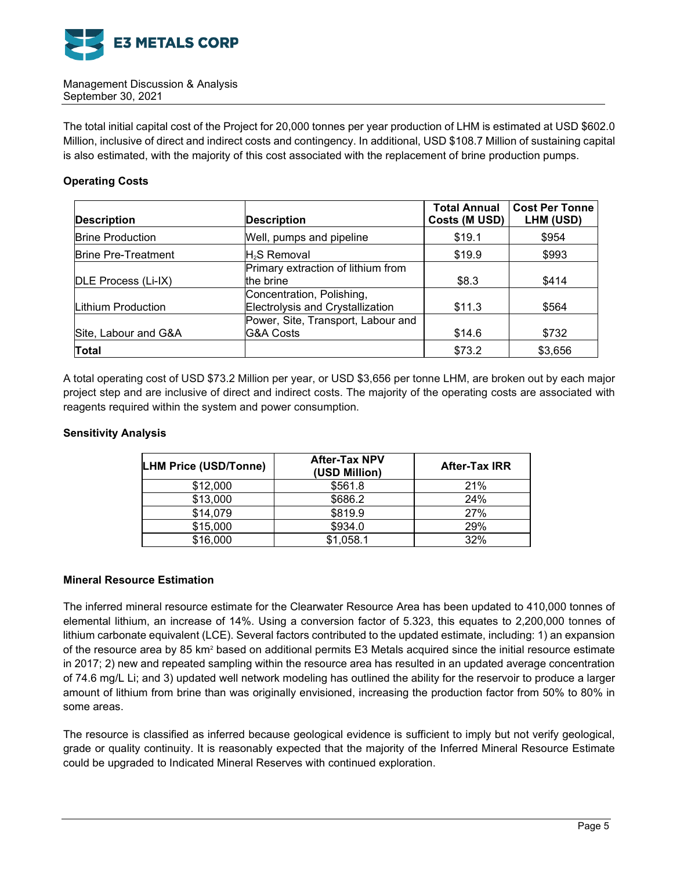

The total initial capital cost of the Project for 20,000 tonnes per year production of LHM is estimated at USD \$602.0 Million, inclusive of direct and indirect costs and contingency. In additional, USD \$108.7 Million of sustaining capital is also estimated, with the majority of this cost associated with the replacement of brine production pumps.

### **Operating Costs**

| <b>Description</b>         | <b>Description</b>                                            | <b>Total Annual</b><br>Costs (M USD) | <b>Cost Per Tonne</b><br>LHM (USD) |
|----------------------------|---------------------------------------------------------------|--------------------------------------|------------------------------------|
| <b>Brine Production</b>    | Well, pumps and pipeline                                      | \$19.1                               | \$954                              |
| <b>Brine Pre-Treatment</b> | $H2S$ Removal                                                 | \$19.9                               | \$993                              |
| DLE Process (Li-IX)        | Primary extraction of lithium from<br>the brine               | \$8.3                                | \$414                              |
| Lithium Production         | Concentration, Polishing,<br>Electrolysis and Crystallization | \$11.3                               | \$564                              |
| Site, Labour and G&A       | Power, Site, Transport, Labour and<br><b>G&amp;A Costs</b>    | \$14.6                               | \$732                              |
| <b>Total</b>               |                                                               | \$73.2                               | \$3,656                            |

A total operating cost of USD \$73.2 Million per year, or USD \$3,656 per tonne LHM, are broken out by each major project step and are inclusive of direct and indirect costs. The majority of the operating costs are associated with reagents required within the system and power consumption.

### **Sensitivity Analysis**

| <b>LHM Price (USD/Tonne)</b> | <b>After-Tax NPV</b><br>(USD Million) | <b>After-Tax IRR</b> |
|------------------------------|---------------------------------------|----------------------|
| \$12,000                     | \$561.8                               | 21%                  |
| \$13,000                     | \$686.2                               | 24%                  |
| \$14,079                     | \$819.9                               | 27%                  |
| \$15,000                     | \$934.0                               | 29%                  |
| \$16,000                     | \$1,058.1                             | 32%                  |

#### **Mineral Resource Estimation**

The inferred mineral resource estimate for the Clearwater Resource Area has been updated to 410,000 tonnes of elemental lithium, an increase of 14%. Using a conversion factor of 5.323, this equates to 2,200,000 tonnes of lithium carbonate equivalent (LCE). Several factors contributed to the updated estimate, including: 1) an expansion of the resource area by 85 km<sup>2</sup> based on additional permits E3 Metals acquired since the initial resource estimate in 2017; 2) new and repeated sampling within the resource area has resulted in an updated average concentration of 74.6 mg/L Li; and 3) updated well network modeling has outlined the ability for the reservoir to produce a larger amount of lithium from brine than was originally envisioned, increasing the production factor from 50% to 80% in some areas.

The resource is classified as inferred because geological evidence is sufficient to imply but not verify geological, grade or quality continuity. It is reasonably expected that the majority of the Inferred Mineral Resource Estimate could be upgraded to Indicated Mineral Reserves with continued exploration.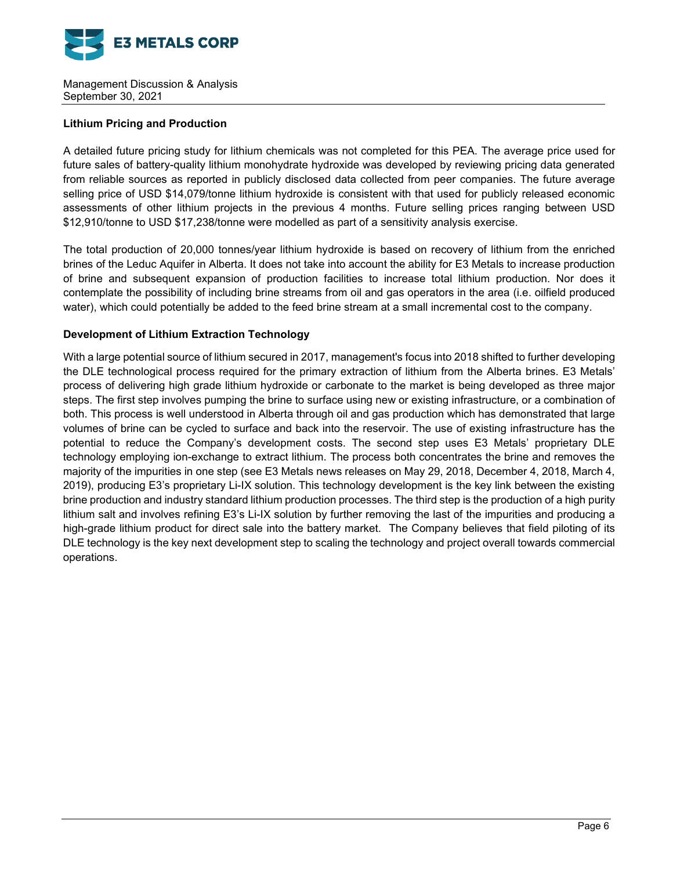

# **Lithium Pricing and Production**

A detailed future pricing study for lithium chemicals was not completed for this PEA. The average price used for future sales of battery-quality lithium monohydrate hydroxide was developed by reviewing pricing data generated from reliable sources as reported in publicly disclosed data collected from peer companies. The future average selling price of USD \$14,079/tonne lithium hydroxide is consistent with that used for publicly released economic assessments of other lithium projects in the previous 4 months. Future selling prices ranging between USD \$12,910/tonne to USD \$17,238/tonne were modelled as part of a sensitivity analysis exercise.

The total production of 20,000 tonnes/year lithium hydroxide is based on recovery of lithium from the enriched brines of the Leduc Aquifer in Alberta. It does not take into account the ability for E3 Metals to increase production of brine and subsequent expansion of production facilities to increase total lithium production. Nor does it contemplate the possibility of including brine streams from oil and gas operators in the area (i.e. oilfield produced water), which could potentially be added to the feed brine stream at a small incremental cost to the company.

### **Development of Lithium Extraction Technology**

With a large potential source of lithium secured in 2017, management's focus into 2018 shifted to further developing the DLE technological process required for the primary extraction of lithium from the Alberta brines. E3 Metals' process of delivering high grade lithium hydroxide or carbonate to the market is being developed as three major steps. The first step involves pumping the brine to surface using new or existing infrastructure, or a combination of both. This process is well understood in Alberta through oil and gas production which has demonstrated that large volumes of brine can be cycled to surface and back into the reservoir. The use of existing infrastructure has the potential to reduce the Company's development costs. The second step uses E3 Metals' proprietary DLE technology employing ion-exchange to extract lithium. The process both concentrates the brine and removes the majority of the impurities in one step (see E3 Metals news releases on May 29, 2018, December 4, 2018, March 4, 2019), producing E3's proprietary Li-IX solution. This technology development is the key link between the existing brine production and industry standard lithium production processes. The third step is the production of a high purity lithium salt and involves refining E3's Li-IX solution by further removing the last of the impurities and producing a high-grade lithium product for direct sale into the battery market. The Company believes that field piloting of its DLE technology is the key next development step to scaling the technology and project overall towards commercial operations.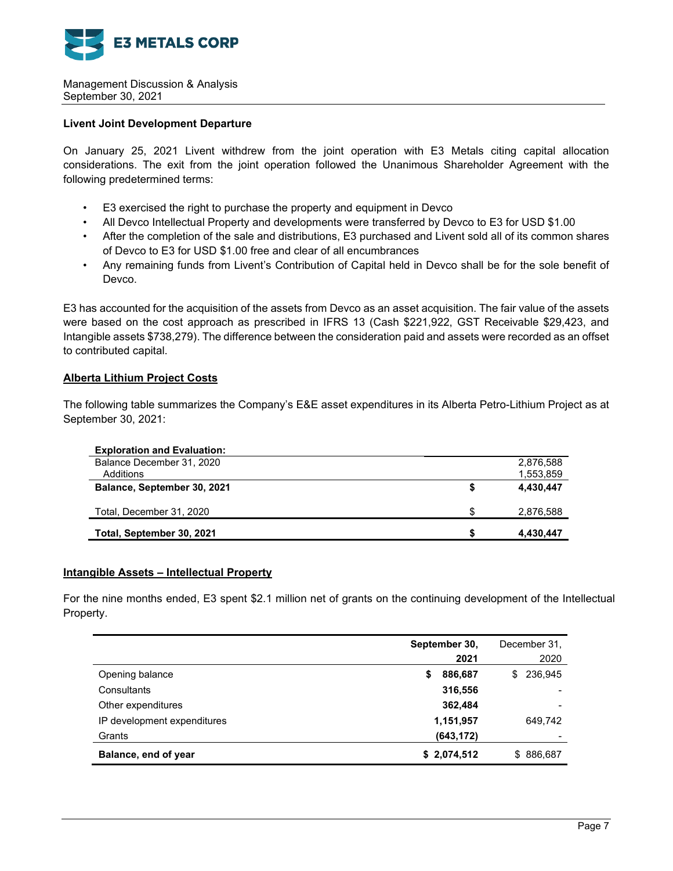

### **Livent Joint Development Departure**

On January 25, 2021 Livent withdrew from the joint operation with E3 Metals citing capital allocation considerations. The exit from the joint operation followed the Unanimous Shareholder Agreement with the following predetermined terms:

- E3 exercised the right to purchase the property and equipment in Devco
- All Devco Intellectual Property and developments were transferred by Devco to E3 for USD \$1.00
- After the completion of the sale and distributions, E3 purchased and Livent sold all of its common shares of Devco to E3 for USD \$1.00 free and clear of all encumbrances
- Any remaining funds from Livent's Contribution of Capital held in Devco shall be for the sole benefit of Devco.

E3 has accounted for the acquisition of the assets from Devco as an asset acquisition. The fair value of the assets were based on the cost approach as prescribed in IFRS 13 (Cash \$221,922, GST Receivable \$29,423, and Intangible assets \$738,279). The difference between the consideration paid and assets were recorded as an offset to contributed capital.

### **Alberta Lithium Project Costs**

The following table summarizes the Company's E&E asset expenditures in its Alberta Petro-Lithium Project as at September 30, 2021:

| <b>Exploration and Evaluation:</b> |     |           |
|------------------------------------|-----|-----------|
| Balance December 31, 2020          |     | 2,876,588 |
| Additions                          |     | 1,553,859 |
| Balance, September 30, 2021        |     | 4,430,447 |
| Total, December 31, 2020           | \$. | 2,876,588 |
| Total, September 30, 2021          |     | 4,430,447 |

#### **Intangible Assets – Intellectual Property**

For the nine months ended, E3 spent \$2.1 million net of grants on the continuing development of the Intellectual Property.

|                             | September 30,<br>2021 | December 31,<br>2020 |
|-----------------------------|-----------------------|----------------------|
| Opening balance             | 886,687<br>\$         | 236,945<br>\$.       |
| Consultants                 | 316,556               |                      |
| Other expenditures          | 362,484               | $\qquad \qquad$      |
| IP development expenditures | 1,151,957             | 649,742              |
| Grants                      | (643, 172)            |                      |
| Balance, end of year        | \$2,074,512           | \$886,687            |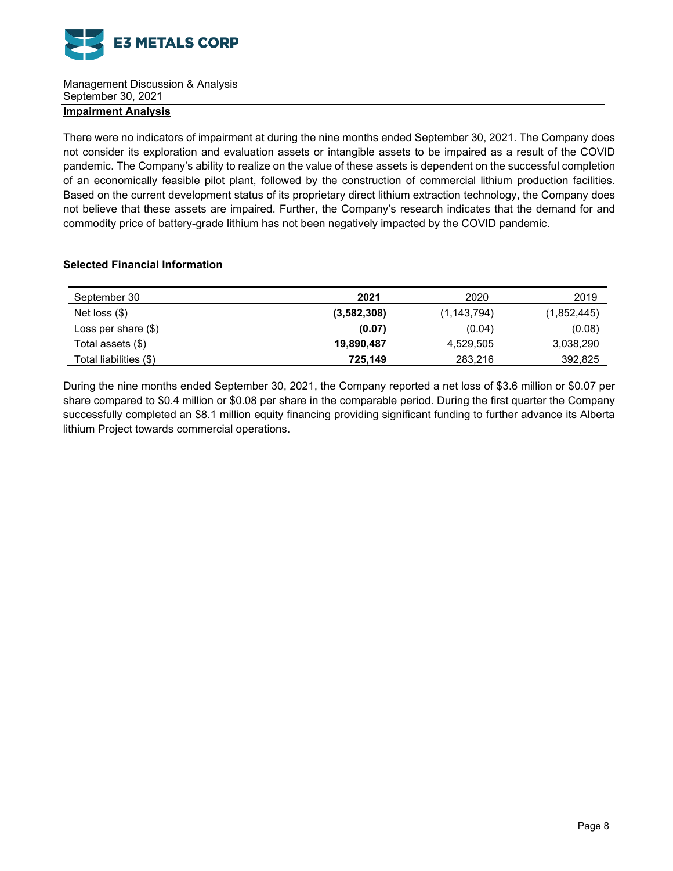

# **Impairment Analysis**

There were no indicators of impairment at during the nine months ended September 30, 2021. The Company does not consider its exploration and evaluation assets or intangible assets to be impaired as a result of the COVID pandemic. The Company's ability to realize on the value of these assets is dependent on the successful completion of an economically feasible pilot plant, followed by the construction of commercial lithium production facilities. Based on the current development status of its proprietary direct lithium extraction technology, the Company does not believe that these assets are impaired. Further, the Company's research indicates that the demand for and commodity price of battery-grade lithium has not been negatively impacted by the COVID pandemic.

### **Selected Financial Information**

| September 30           | 2021        | 2020          | 2019        |
|------------------------|-------------|---------------|-------------|
| Net loss $(\$)$        | (3,582,308) | (1, 143, 794) | (1,852,445) |
| Loss per share $(\$)$  | (0.07)      | (0.04)        | (0.08)      |
| Total assets (\$)      | 19,890,487  | 4,529,505     | 3,038,290   |
| Total liabilities (\$) | 725,149     | 283,216       | 392,825     |

During the nine months ended September 30, 2021, the Company reported a net loss of \$3.6 million or \$0.07 per share compared to \$0.4 million or \$0.08 per share in the comparable period. During the first quarter the Company successfully completed an \$8.1 million equity financing providing significant funding to further advance its Alberta lithium Project towards commercial operations.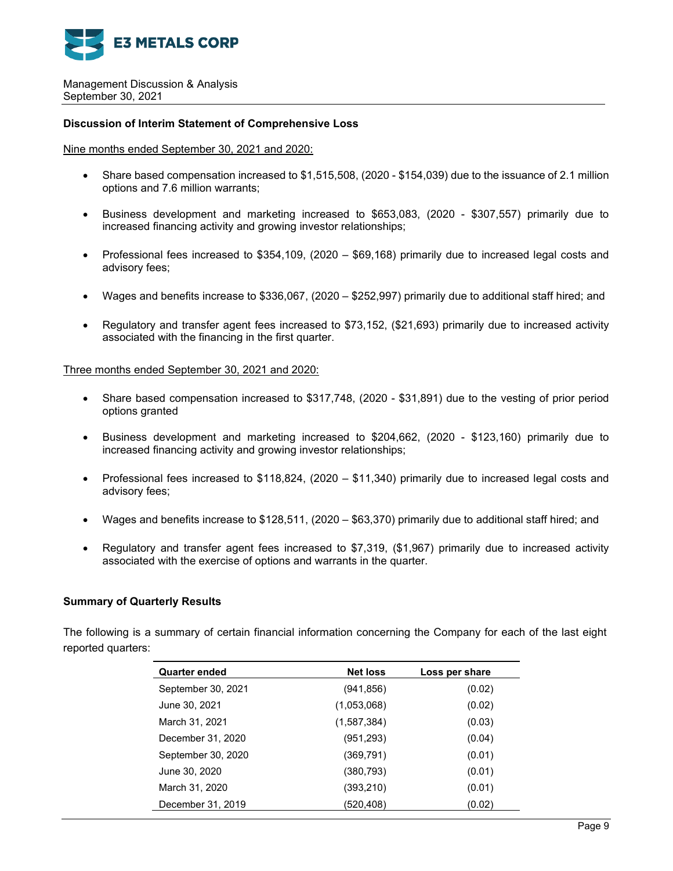

#### **Discussion of Interim Statement of Comprehensive Loss**

### Nine months ended September 30, 2021 and 2020:

- Share based compensation increased to \$1,515,508, (2020 \$154,039) due to the issuance of 2.1 million options and 7.6 million warrants;
- Business development and marketing increased to \$653,083, (2020 \$307,557) primarily due to increased financing activity and growing investor relationships;
- Professional fees increased to \$354,109, (2020 \$69,168) primarily due to increased legal costs and advisory fees;
- Wages and benefits increase to \$336,067, (2020 \$252,997) primarily due to additional staff hired; and
- Regulatory and transfer agent fees increased to \$73,152, (\$21,693) primarily due to increased activity associated with the financing in the first quarter.

#### Three months ended September 30, 2021 and 2020:

- Share based compensation increased to \$317,748, (2020 \$31,891) due to the vesting of prior period options granted
- Business development and marketing increased to \$204,662, (2020 \$123,160) primarily due to increased financing activity and growing investor relationships;
- Professional fees increased to \$118,824, (2020 \$11,340) primarily due to increased legal costs and advisory fees;
- Wages and benefits increase to \$128,511, (2020 \$63,370) primarily due to additional staff hired; and
- Regulatory and transfer agent fees increased to \$7,319, (\$1,967) primarily due to increased activity associated with the exercise of options and warrants in the quarter.

#### **Summary of Quarterly Results**

The following is a summary of certain financial information concerning the Company for each of the last eight reported quarters:

| <b>Quarter ended</b> | <b>Net loss</b> | Loss per share |
|----------------------|-----------------|----------------|
| September 30, 2021   | (941, 856)      | (0.02)         |
| June 30, 2021        | (1,053,068)     | (0.02)         |
| March 31, 2021       | (1,587,384)     | (0.03)         |
| December 31, 2020    | (951,293)       | (0.04)         |
| September 30, 2020   | (369,791)       | (0.01)         |
| June 30, 2020        | (380, 793)      | (0.01)         |
| March 31, 2020       | (393, 210)      | (0.01)         |
| December 31, 2019    | (520,408)       | (0.02)         |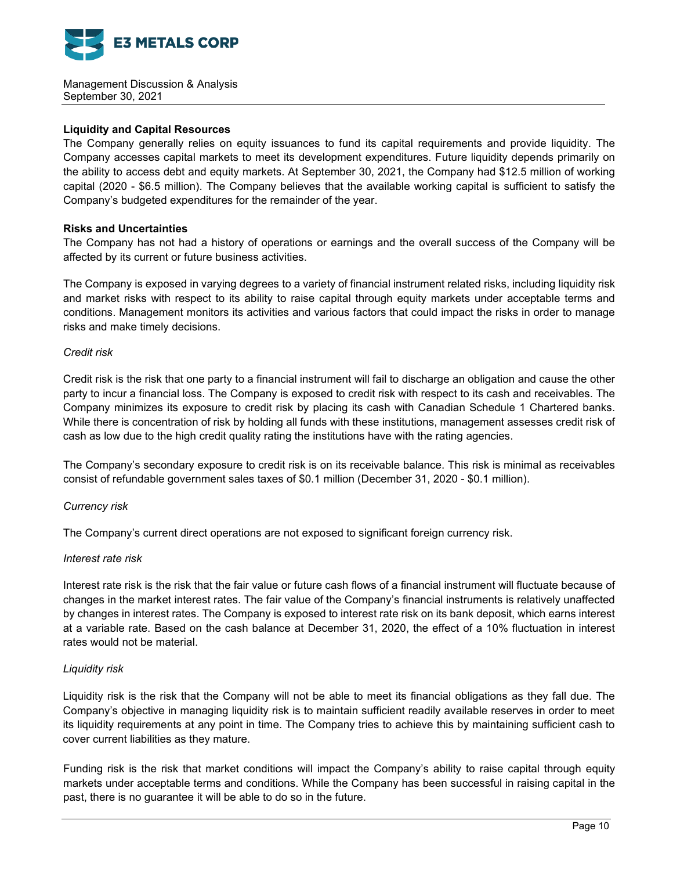

### **Liquidity and Capital Resources**

The Company generally relies on equity issuances to fund its capital requirements and provide liquidity. The Company accesses capital markets to meet its development expenditures. Future liquidity depends primarily on the ability to access debt and equity markets. At September 30, 2021, the Company had \$12.5 million of working capital (2020 - \$6.5 million). The Company believes that the available working capital is sufficient to satisfy the Company's budgeted expenditures for the remainder of the year.

### **Risks and Uncertainties**

The Company has not had a history of operations or earnings and the overall success of the Company will be affected by its current or future business activities.

The Company is exposed in varying degrees to a variety of financial instrument related risks, including liquidity risk and market risks with respect to its ability to raise capital through equity markets under acceptable terms and conditions. Management monitors its activities and various factors that could impact the risks in order to manage risks and make timely decisions.

#### *Credit risk*

Credit risk is the risk that one party to a financial instrument will fail to discharge an obligation and cause the other party to incur a financial loss. The Company is exposed to credit risk with respect to its cash and receivables. The Company minimizes its exposure to credit risk by placing its cash with Canadian Schedule 1 Chartered banks. While there is concentration of risk by holding all funds with these institutions, management assesses credit risk of cash as low due to the high credit quality rating the institutions have with the rating agencies.

The Company's secondary exposure to credit risk is on its receivable balance. This risk is minimal as receivables consist of refundable government sales taxes of \$0.1 million (December 31, 2020 - \$0.1 million).

# *Currency risk*

The Company's current direct operations are not exposed to significant foreign currency risk.

#### *Interest rate risk*

Interest rate risk is the risk that the fair value or future cash flows of a financial instrument will fluctuate because of changes in the market interest rates. The fair value of the Company's financial instruments is relatively unaffected by changes in interest rates. The Company is exposed to interest rate risk on its bank deposit, which earns interest at a variable rate. Based on the cash balance at December 31, 2020, the effect of a 10% fluctuation in interest rates would not be material.

#### *Liquidity risk*

Liquidity risk is the risk that the Company will not be able to meet its financial obligations as they fall due. The Company's objective in managing liquidity risk is to maintain sufficient readily available reserves in order to meet its liquidity requirements at any point in time. The Company tries to achieve this by maintaining sufficient cash to cover current liabilities as they mature.

Funding risk is the risk that market conditions will impact the Company's ability to raise capital through equity markets under acceptable terms and conditions. While the Company has been successful in raising capital in the past, there is no guarantee it will be able to do so in the future.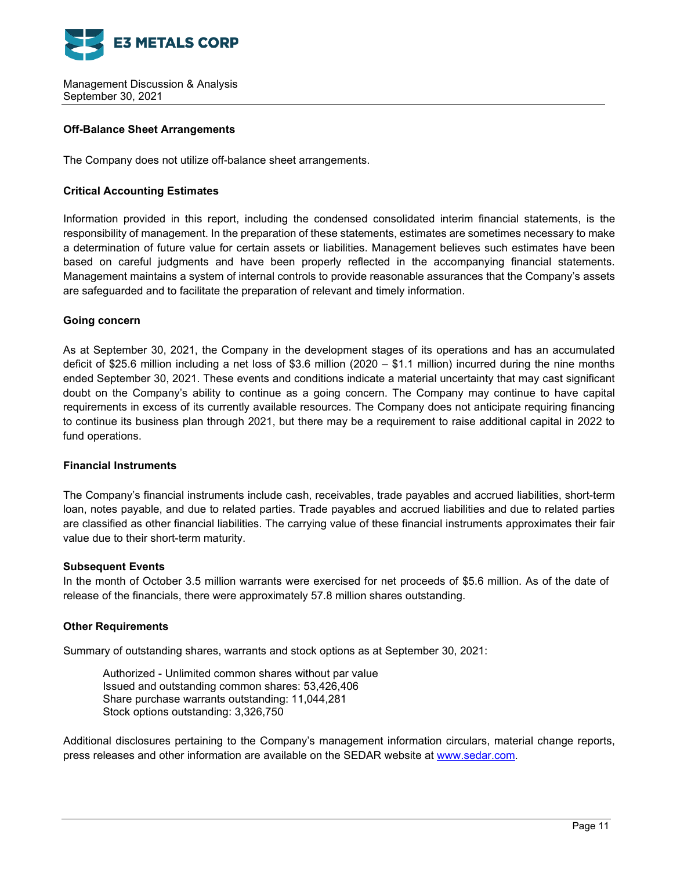

### **Off-Balance Sheet Arrangements**

The Company does not utilize off-balance sheet arrangements.

### **Critical Accounting Estimates**

Information provided in this report, including the condensed consolidated interim financial statements, is the responsibility of management. In the preparation of these statements, estimates are sometimes necessary to make a determination of future value for certain assets or liabilities. Management believes such estimates have been based on careful judgments and have been properly reflected in the accompanying financial statements. Management maintains a system of internal controls to provide reasonable assurances that the Company's assets are safeguarded and to facilitate the preparation of relevant and timely information.

### **Going concern**

As at September 30, 2021, the Company in the development stages of its operations and has an accumulated deficit of \$25.6 million including a net loss of \$3.6 million (2020 – \$1.1 million) incurred during the nine months ended September 30, 2021. These events and conditions indicate a material uncertainty that may cast significant doubt on the Company's ability to continue as a going concern. The Company may continue to have capital requirements in excess of its currently available resources. The Company does not anticipate requiring financing to continue its business plan through 2021, but there may be a requirement to raise additional capital in 2022 to fund operations.

### **Financial Instruments**

The Company's financial instruments include cash, receivables, trade payables and accrued liabilities, short-term loan, notes payable, and due to related parties. Trade payables and accrued liabilities and due to related parties are classified as other financial liabilities. The carrying value of these financial instruments approximates their fair value due to their short-term maturity.

#### **Subsequent Events**

In the month of October 3.5 million warrants were exercised for net proceeds of \$5.6 million. As of the date of release of the financials, there were approximately 57.8 million shares outstanding.

#### **Other Requirements**

Summary of outstanding shares, warrants and stock options as at September 30, 2021:

Authorized - Unlimited common shares without par value Issued and outstanding common shares: 53,426,406 Share purchase warrants outstanding: 11,044,281 Stock options outstanding: 3,326,750

Additional disclosures pertaining to the Company's management information circulars, material change reports, press releases and other information are available on the SEDAR website at [www.sedar.com.](http://www.sedar.com/)